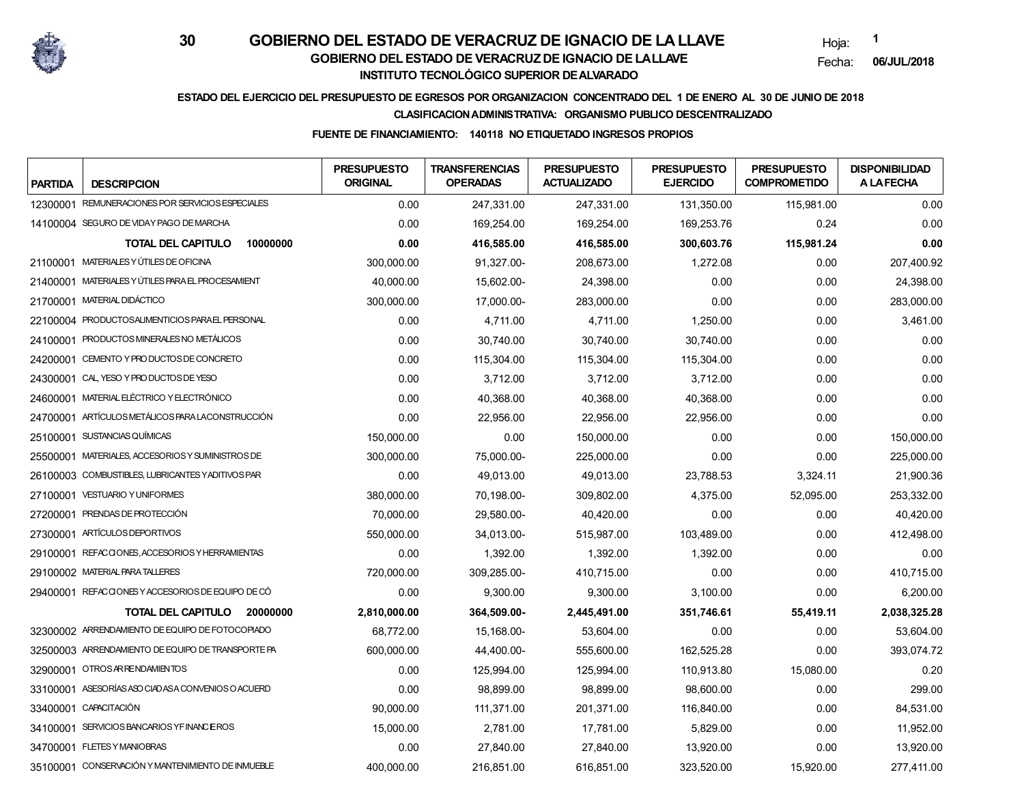

Hoja:**1**

Fecha:**06/JUL/2018**

## **ESTADO DEL EJERCICIO DEL PRESUPUESTO DE EGRESOS POR ORGANIZACION CONCENTRADO DEL 1 DE ENERO AL 30 DE JUNIO DE 2018**

### **CLASIFICACION ADMINISTRATIVA: ORGANISMO PUBLICO DESCENTRALIZADO**

### **FUENTE DE FINANCIAMIENTO: 140118 NO ETIQUETADO INGRESOS PROPIOS**

| <b>PARTIDA</b> | <b>DESCRIPCION</b>                                 | <b>PRESUPUESTO</b><br><b>ORIGINAL</b> | <b>TRANSFERENCIAS</b><br><b>OPERADAS</b> | <b>PRESUPUESTO</b><br><b>ACTUALIZADO</b> | <b>PRESUPUESTO</b><br><b>EJERCIDO</b> | <b>PRESUPUESTO</b><br><b>COMPROMETIDO</b> | <b>DISPONIBILIDAD</b><br><b>A LAFECHA</b> |
|----------------|----------------------------------------------------|---------------------------------------|------------------------------------------|------------------------------------------|---------------------------------------|-------------------------------------------|-------------------------------------------|
|                | 12300001 REMUNERACIONES POR SERVICIOS ESPECIALES   | 0.00                                  | 247,331.00                               | 247,331.00                               | 131,350.00                            | 115,981.00                                | 0.00                                      |
|                | 14100004 SEGURO DE VIDAY PAGO DE MARCHA            | 0.00                                  | 169,254.00                               | 169,254.00                               | 169,253.76                            | 0.24                                      | 0.00                                      |
|                | <b>TOTAL DEL CAPITULO</b><br>10000000              | 0.00                                  | 416,585.00                               | 416,585.00                               | 300,603.76                            | 115,981.24                                | 0.00                                      |
|                | 21100001 MATERIALES Y ÚTILES DE OFICINA            | 300,000.00                            | 91,327.00-                               | 208,673.00                               | 1,272.08                              | 0.00                                      | 207,400.92                                |
|                | 21400001 MATERIALES Y ÚTILES PARA EL PROCESAMIENT  | 40,000.00                             | 15,602.00-                               | 24,398.00                                | 0.00                                  | 0.00                                      | 24,398.00                                 |
|                | 21700001 MATERIAL DIDÁCTICO                        | 300.000.00                            | 17.000.00-                               | 283.000.00                               | 0.00                                  | 0.00                                      | 283,000.00                                |
|                | 22100004 PRODUCTOSALIMENTICIOS PARAEL PERSONAL     | 0.00                                  | 4,711.00                                 | 4,711.00                                 | 1,250.00                              | 0.00                                      | 3,461.00                                  |
|                | 24100001 PRODUCTOS MINERALES NO METÁLICOS          | 0.00                                  | 30,740.00                                | 30,740.00                                | 30,740.00                             | 0.00                                      | 0.00                                      |
|                | 24200001 CEMENTO Y PRO DUCTOS DE CONCRETO          | 0.00                                  | 115,304.00                               | 115,304.00                               | 115,304.00                            | 0.00                                      | 0.00                                      |
|                | 24300001 CAL, YESO Y PRODUCTOS DE YESO             | 0.00                                  | 3,712.00                                 | 3,712.00                                 | 3,712.00                              | 0.00                                      | 0.00                                      |
|                | 24600001 MATERIAL ELÉCTRICO Y ELECTRÓNICO          | 0.00                                  | 40,368.00                                | 40,368.00                                | 40,368.00                             | 0.00                                      | 0.00                                      |
|                | 24700001 ARTÍCULOS METÁLICOS PARA LACONSTRUCCIÓN   | 0.00                                  | 22,956.00                                | 22,956.00                                | 22,956.00                             | 0.00                                      | 0.00                                      |
|                | 25100001 SUSTANCIAS QUÍMICAS                       | 150,000.00                            | 0.00                                     | 150,000.00                               | 0.00                                  | 0.00                                      | 150,000.00                                |
|                | 25500001 MATERIALES, ACCESORIOS Y SUMINISTROS DE   | 300,000.00                            | 75,000.00-                               | 225,000.00                               | 0.00                                  | 0.00                                      | 225,000.00                                |
|                | 26100003 COMBUSTIBLES, LUBRICANTES YADITIVOS PAR   | 0.00                                  | 49,013.00                                | 49.013.00                                | 23,788.53                             | 3,324.11                                  | 21,900.36                                 |
|                | 27100001 VESTUARIO Y UNIFORMES                     | 380,000.00                            | 70,198.00-                               | 309,802.00                               | 4,375.00                              | 52,095.00                                 | 253,332.00                                |
|                | 27200001 PRENDAS DE PROTECCIÓN                     | 70,000.00                             | 29,580.00-                               | 40,420.00                                | 0.00                                  | 0.00                                      | 40,420.00                                 |
|                | 27300001 ARTÍCULOS DEPORTIVOS                      | 550,000.00                            | 34,013.00-                               | 515,987.00                               | 103,489.00                            | 0.00                                      | 412,498.00                                |
|                | 29100001 REFACCIONES, ACCESORIOS Y HERRAMIENTAS    | 0.00                                  | 1,392.00                                 | 1,392.00                                 | 1,392.00                              | 0.00                                      | 0.00                                      |
|                | 29100002 MATERIAL PARA TALLERES                    | 720,000.00                            | 309.285.00-                              | 410.715.00                               | 0.00                                  | 0.00                                      | 410,715.00                                |
|                | 29400001 REFACCIONES Y ACCESORIOS DE EQUIPO DE CÓ  | 0.00                                  | 9,300.00                                 | 9,300.00                                 | 3,100.00                              | 0.00                                      | 6,200.00                                  |
|                | <b>TOTAL DEL CAPITULO</b><br>20000000              | 2,810,000.00                          | 364,509.00-                              | 2,445,491.00                             | 351,746.61                            | 55,419.11                                 | 2,038,325.28                              |
|                | 32300002 ARRENDAMIENTO DE EQUIPO DE FOTOCOPIADO    | 68,772.00                             | 15,168.00-                               | 53,604.00                                | 0.00                                  | 0.00                                      | 53,604.00                                 |
|                | 32500003 ARRENDAMIENTO DE EQUIPO DE TRANSPORTE PA  | 600.000.00                            | 44,400.00-                               | 555.600.00                               | 162,525.28                            | 0.00                                      | 393,074.72                                |
|                | 32900001 OTROS AR RENDAMIENTOS                     | 0.00                                  | 125,994.00                               | 125,994.00                               | 110,913.80                            | 15,080.00                                 | 0.20                                      |
|                | 33100001 ASESORÍAS ASO CIADAS A CONVENIOS O ACUERD | 0.00                                  | 98,899.00                                | 98,899.00                                | 98,600.00                             | 0.00                                      | 299.00                                    |
|                | 33400001 CAPACITACIÓN                              | 90,000.00                             | 111,371.00                               | 201,371.00                               | 116,840.00                            | 0.00                                      | 84,531.00                                 |
|                | 34100001 SERVICIOS BANCARIOS YFINANCEROS           | 15,000.00                             | 2,781.00                                 | 17,781.00                                | 5,829.00                              | 0.00                                      | 11,952.00                                 |
|                | 34700001 FLETES Y MANIOBRAS                        | 0.00                                  | 27,840.00                                | 27,840.00                                | 13,920.00                             | 0.00                                      | 13,920.00                                 |
|                | 35100001 CONSERVACIÓN Y MANTENIMIENTO DE INMUEBLE  | 400,000.00                            | 216,851.00                               | 616,851.00                               | 323,520.00                            | 15,920.00                                 | 277,411.00                                |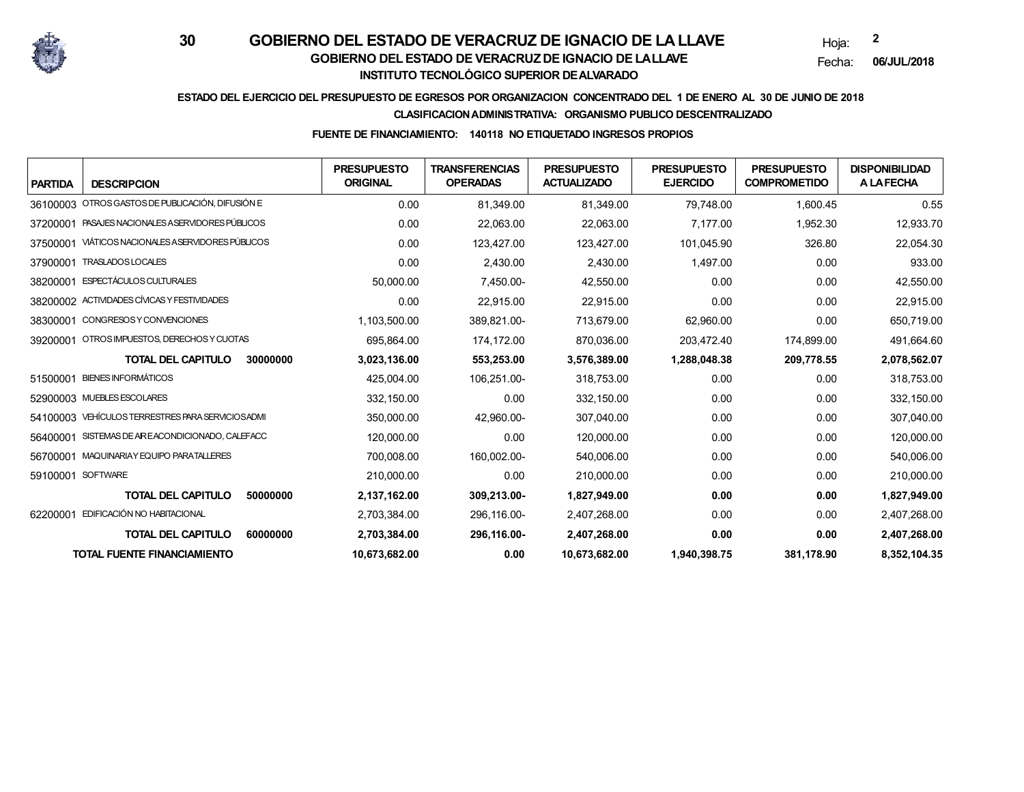

Hoja:**2**

Fecha:**06/JUL/2018**

## **ESTADO DEL EJERCICIO DEL PRESUPUESTO DE EGRESOS POR ORGANIZACION CONCENTRADO DEL 1 DE ENERO AL 30 DE JUNIO DE 2018**

#### **CLASIFICACION ADMINISTRATIVA: ORGANISMO PUBLICO DESCENTRALIZADO**

### **FUENTE DE FINANCIAMIENTO: 140118 NO ETIQUETADO INGRESOS PROPIOS**

| <b>PARTIDA</b>    | <b>DESCRIPCION</b>                          | <b>PRESUPUESTO</b><br><b>ORIGINAL</b> | <b>TRANSFERENCIAS</b><br><b>OPERADAS</b> | <b>PRESUPUESTO</b><br><b>ACTUALIZADO</b> | <b>PRESUPUESTO</b><br><b>EJERCIDO</b> | <b>PRESUPUESTO</b><br><b>COMPROMETIDO</b> | <b>DISPONIBILIDAD</b><br><b>ALAFECHA</b> |
|-------------------|---------------------------------------------|---------------------------------------|------------------------------------------|------------------------------------------|---------------------------------------|-------------------------------------------|------------------------------------------|
| 36100003          | OTROS GASTOS DE PUBLICACIÓN, DIFUSIÓN E     | 0.00                                  | 81,349.00                                | 81,349.00                                | 79,748.00                             | 1,600.45                                  | 0.55                                     |
| 37200001          | PASAJES NACIONALES A SERVIDORES PÚBLICOS    | 0.00                                  | 22,063.00                                | 22,063.00                                | 7,177.00                              | 1,952.30                                  | 12,933.70                                |
| 37500001          | VIÁTICOS NACIONALES A SERVIDORES PÚBLICOS   | 0.00                                  | 123,427.00                               | 123,427.00                               | 101,045.90                            | 326.80                                    | 22,054.30                                |
| 37900001          | <b>TRASLADOS LOCALES</b>                    | 0.00                                  | 2,430.00                                 | 2,430.00                                 | 1,497.00                              | 0.00                                      | 933.00                                   |
| 38200001          | <b>ESPECTÁCULOS CULTURALES</b>              | 50,000.00                             | 7,450.00-                                | 42,550.00                                | 0.00                                  | 0.00                                      | 42,550.00                                |
|                   | 38200002 ACTIVIDADES CÍVICAS Y FESTIVIDADES | 0.00                                  | 22,915.00                                | 22,915.00                                | 0.00                                  | 0.00                                      | 22,915.00                                |
| 38300001          | CONGRESOS Y CONVENCIONES                    | 1,103,500.00                          | 389,821.00-                              | 713,679.00                               | 62,960.00                             | 0.00                                      | 650,719.00                               |
| 39200001          | OTROS IMPUESTOS, DERECHOS Y CUOTAS          | 695,864.00                            | 174,172.00                               | 870,036.00                               | 203,472.40                            | 174,899.00                                | 491,664.60                               |
|                   | <b>TOTAL DEL CAPITULO</b><br>30000000       | 3,023,136.00                          | 553,253.00                               | 3,576,389.00                             | 1,288,048.38                          | 209,778.55                                | 2,078,562.07                             |
| 51500001          | <b>BIENES INFORMÁTICOS</b>                  | 425,004.00                            | 106,251.00-                              | 318,753.00                               | 0.00                                  | 0.00                                      | 318,753.00                               |
|                   | 52900003 MUEBLES ESCOLARES                  | 332,150.00                            | 0.00                                     | 332,150.00                               | 0.00                                  | 0.00                                      | 332,150.00                               |
| 54100003          | VEHÍCULOS TERRESTRES PARA SERVICIOS ADMI    | 350,000.00                            | 42,960.00-                               | 307,040.00                               | 0.00                                  | 0.00                                      | 307,040.00                               |
| 56400001          | SISTEMAS DE AR EACONDICIONADO, CALEFACC     | 120,000.00                            | 0.00                                     | 120,000.00                               | 0.00                                  | 0.00                                      | 120,000.00                               |
| 56700001          | MAQUINARIAY EQUIPO PARATALLERES             | 700,008.00                            | 160,002.00-                              | 540,006.00                               | 0.00                                  | 0.00                                      | 540,006.00                               |
| 59100001 SOFTWARE |                                             | 210,000.00                            | 0.00                                     | 210,000.00                               | 0.00                                  | 0.00                                      | 210,000.00                               |
|                   | <b>TOTAL DEL CAPITULO</b><br>50000000       | 2,137,162.00                          | 309,213.00-                              | 1,827,949.00                             | 0.00                                  | 0.00                                      | 1,827,949.00                             |
|                   | 62200001 EDIFICACIÓN NO HABITACIONAL        | 2,703,384.00                          | 296,116.00-                              | 2,407,268.00                             | 0.00                                  | 0.00                                      | 2,407,268.00                             |
|                   | <b>TOTAL DEL CAPITULO</b><br>60000000       | 2,703,384.00                          | 296,116.00-                              | 2,407,268.00                             | 0.00                                  | 0.00                                      | 2,407,268.00                             |
|                   | <b>TOTAL FUENTE FINANCIAMIENTO</b>          | 10,673,682.00                         | 0.00                                     | 10,673,682.00                            | 1,940,398.75                          | 381,178.90                                | 8,352,104.35                             |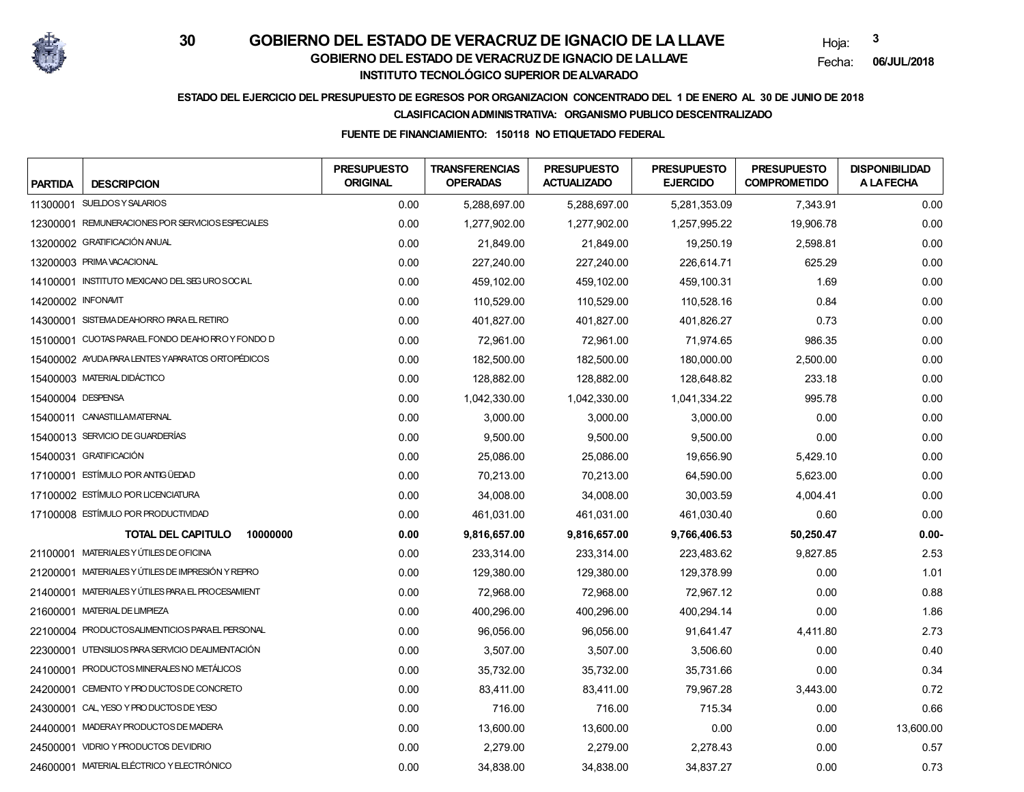

Hoja:**3**

Fecha:**06/JUL/2018**

## **ESTADO DEL EJERCICIO DEL PRESUPUESTO DE EGRESOS POR ORGANIZACION CONCENTRADO DEL 1 DE ENERO AL 30 DE JUNIO DE 2018**

### **CLASIFICACION ADMINISTRATIVA: ORGANISMO PUBLICO DESCENTRALIZADO**

### **FUENTE DE FINANCIAMIENTO: 150118 NO ETIQUETADO FEDERAL**

| <b>PARTIDA</b>     | <b>DESCRIPCION</b>                                | <b>PRESUPUESTO</b><br><b>ORIGINAL</b> | <b>TRANSFERENCIAS</b><br><b>OPERADAS</b> | <b>PRESUPUESTO</b><br><b>ACTUALIZADO</b> | <b>PRESUPUESTO</b><br><b>EJERCIDO</b> | <b>PRESUPUESTO</b><br><b>COMPROMETIDO</b> | <b>DISPONIBILIDAD</b><br><b>ALAFECHA</b> |
|--------------------|---------------------------------------------------|---------------------------------------|------------------------------------------|------------------------------------------|---------------------------------------|-------------------------------------------|------------------------------------------|
|                    | 11300001 SUELDOSY SALARIOS                        | 0.00                                  | 5,288,697.00                             | 5,288,697.00                             | 5,281,353.09                          | 7.343.91                                  | 0.00                                     |
|                    | 12300001 REMUNERACIONES POR SERVICIOS ESPECIALES  | 0.00                                  | 1,277,902.00                             | 1,277,902.00                             | 1,257,995.22                          | 19,906.78                                 | 0.00                                     |
|                    | 13200002 GRATIFICACIÓN ANUAL                      | 0.00                                  | 21,849.00                                | 21,849.00                                | 19,250.19                             | 2,598.81                                  | 0.00                                     |
|                    | 13200003 PRIMA VACACIONAL                         | 0.00                                  | 227,240.00                               | 227,240.00                               | 226,614.71                            | 625.29                                    | 0.00                                     |
|                    | 14100001 INSTITUTO MEXICANO DEL SEG URO SOCIAL    | 0.00                                  | 459,102.00                               | 459,102.00                               | 459,100.31                            | 1.69                                      | 0.00                                     |
| 14200002 INFONAVIT |                                                   | 0.00                                  | 110,529.00                               | 110,529.00                               | 110,528.16                            | 0.84                                      | 0.00                                     |
|                    | 14300001 SISTEMA DEAHORRO PARA EL RETIRO          | 0.00                                  | 401,827.00                               | 401,827.00                               | 401,826.27                            | 0.73                                      | 0.00                                     |
|                    | 15100001 CUOTAS PARAEL FONDO DEAHORROY FONDO D    | 0.00                                  | 72,961.00                                | 72,961.00                                | 71,974.65                             | 986.35                                    | 0.00                                     |
|                    | 15400002 AYUDA PARA LENTES YAPARATOS ORTOPÉDICOS  | 0.00                                  | 182,500.00                               | 182,500.00                               | 180,000.00                            | 2,500.00                                  | 0.00                                     |
|                    | 15400003 MATERIAL DIDÁCTICO                       | 0.00                                  | 128,882.00                               | 128,882.00                               | 128,648.82                            | 233.18                                    | 0.00                                     |
| 15400004 DESPENSA  |                                                   | 0.00                                  | 1,042,330.00                             | 1,042,330.00                             | 1,041,334.22                          | 995.78                                    | 0.00                                     |
|                    | 15400011 CANASTILLAMATERNAL                       | 0.00                                  | 3.000.00                                 | 3,000.00                                 | 3,000.00                              | 0.00                                      | 0.00                                     |
|                    | 15400013 SERVICIO DE GUARDERÍAS                   | 0.00                                  | 9,500.00                                 | 9,500.00                                 | 9,500.00                              | 0.00                                      | 0.00                                     |
|                    | 15400031 GRATIFICACIÓN                            | 0.00                                  | 25,086.00                                | 25,086.00                                | 19,656.90                             | 5,429.10                                  | 0.00                                     |
|                    | 17100001 ESTÍMULO POR ANTIGÜEDAD                  | 0.00                                  | 70,213.00                                | 70,213.00                                | 64,590.00                             | 5,623.00                                  | 0.00                                     |
|                    | 17100002 ESTÍMULO POR LICENCIATURA                | 0.00                                  | 34,008.00                                | 34,008.00                                | 30,003.59                             | 4,004.41                                  | 0.00                                     |
|                    | 17100008 ESTÍMULO POR PRODUCTIVIDAD               | 0.00                                  | 461,031.00                               | 461,031.00                               | 461,030.40                            | 0.60                                      | 0.00                                     |
|                    | <b>TOTAL DEL CAPITULO</b><br>10000000             | 0.00                                  | 9,816,657.00                             | 9,816,657.00                             | 9,766,406.53                          | 50,250.47                                 | $0.00 -$                                 |
|                    | 21100001 MATERIALES Y ÚTILES DE OFICINA           | 0.00                                  | 233,314.00                               | 233,314.00                               | 223,483.62                            | 9,827.85                                  | 2.53                                     |
|                    | 21200001 MATERIALES Y ÚTILES DE IMPRESIÓN Y REPRO | 0.00                                  | 129,380.00                               | 129,380.00                               | 129,378.99                            | 0.00                                      | 1.01                                     |
|                    | 21400001 MATERIALES Y ÚTILES PARA EL PROCESAMIENT | 0.00                                  | 72,968.00                                | 72,968.00                                | 72,967.12                             | 0.00                                      | 0.88                                     |
|                    | 21600001 MATERIAL DE LIMPIEZA                     | 0.00                                  | 400,296.00                               | 400,296.00                               | 400,294.14                            | 0.00                                      | 1.86                                     |
|                    | 22100004 PRODUCTOSALIMENTICIOS PARAEL PERSONAL    | 0.00                                  | 96,056.00                                | 96,056.00                                | 91,641.47                             | 4,411.80                                  | 2.73                                     |
|                    | 22300001 UTENSILIOS PARA SERVICIO DEALIMENTACIÓN  | 0.00                                  | 3,507.00                                 | 3,507.00                                 | 3,506.60                              | 0.00                                      | 0.40                                     |
|                    | 24100001 PRODUCTOS MINERALES NO METÁLICOS         | 0.00                                  | 35,732.00                                | 35,732.00                                | 35,731.66                             | 0.00                                      | 0.34                                     |
|                    | 24200001 CEMENTO Y PRODUCTOS DE CONCRETO          | 0.00                                  | 83,411.00                                | 83,411.00                                | 79,967.28                             | 3,443.00                                  | 0.72                                     |
|                    | 24300001 CAL, YESO Y PRO DUCTOS DE YESO           | 0.00                                  | 716.00                                   | 716.00                                   | 715.34                                | 0.00                                      | 0.66                                     |
|                    | 24400001 MADERAY PRODUCTOS DE MADERA              | 0.00                                  | 13,600.00                                | 13,600.00                                | 0.00                                  | 0.00                                      | 13,600.00                                |
|                    | 24500001 VIDRIO Y PRODUCTOS DEVIDRIO              | 0.00                                  | 2,279.00                                 | 2,279.00                                 | 2,278.43                              | 0.00                                      | 0.57                                     |
|                    | 24600001 MATERIAL ELÉCTRICO Y ELECTRÓNICO         | 0.00                                  | 34,838.00                                | 34,838.00                                | 34,837.27                             | 0.00                                      | 0.73                                     |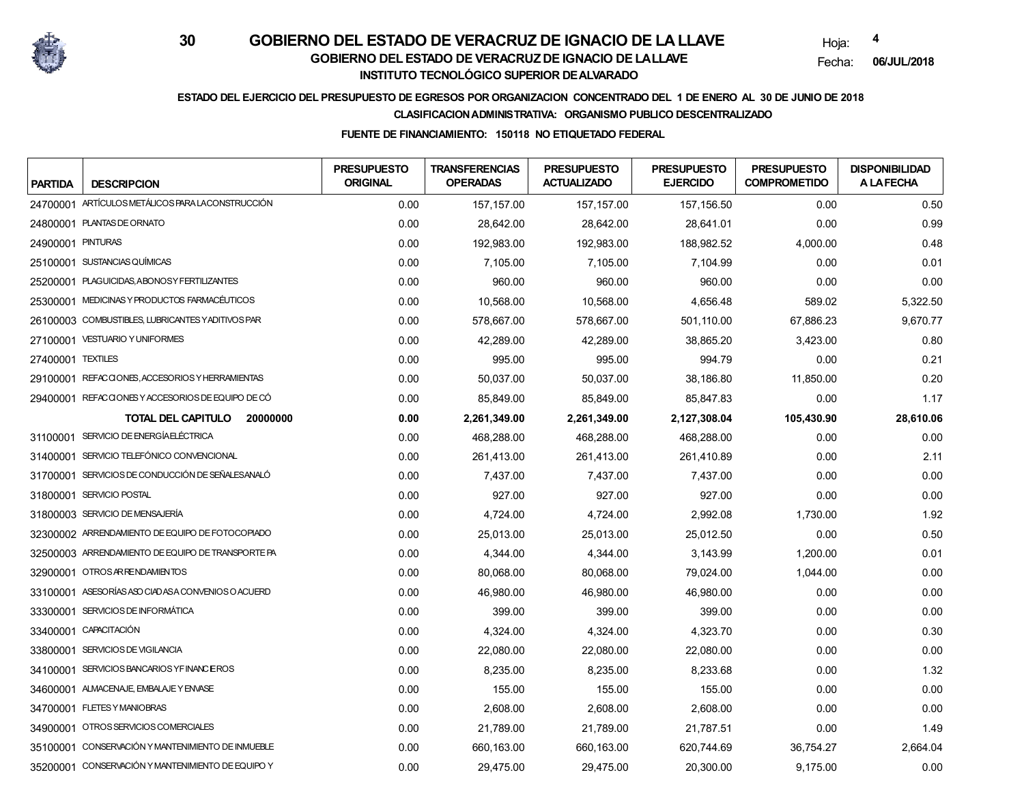

Hoja:**4**

Fecha:**06/JUL/2018**

## **ESTADO DEL EJERCICIO DEL PRESUPUESTO DE EGRESOS POR ORGANIZACION CONCENTRADO DEL 1 DE ENERO AL 30 DE JUNIO DE 2018**

#### **CLASIFICACION ADMINISTRATIVA: ORGANISMO PUBLICO DESCENTRALIZADO**

### **FUENTE DE FINANCIAMIENTO: 150118 NO ETIQUETADO FEDERAL**

| <b>PARTIDA</b>    | <b>DESCRIPCION</b>                                 | <b>PRESUPUESTO</b><br><b>ORIGINAL</b> | <b>TRANSFERENCIAS</b><br><b>OPERADAS</b> | <b>PRESUPUESTO</b><br><b>ACTUALIZADO</b> | <b>PRESUPUESTO</b><br><b>EJERCIDO</b> | <b>PRESUPUESTO</b><br><b>COMPROMETIDO</b> | <b>DISPONIBILIDAD</b><br><b>A LAFECHA</b> |
|-------------------|----------------------------------------------------|---------------------------------------|------------------------------------------|------------------------------------------|---------------------------------------|-------------------------------------------|-------------------------------------------|
|                   | 24700001 ARTÍCULOS METÁLICOS PARA LACONSTRUCCIÓN   | 0.00                                  | 157,157.00                               | 157, 157.00                              | 157,156.50                            | 0.00                                      | 0.50                                      |
|                   | 24800001 PLANTAS DE ORNATO                         | 0.00                                  | 28,642.00                                | 28,642.00                                | 28,641.01                             | 0.00                                      | 0.99                                      |
| 24900001 PINTURAS |                                                    | 0.00                                  | 192,983.00                               | 192,983.00                               | 188,982.52                            | 4,000.00                                  | 0.48                                      |
|                   | 25100001 SUSTANCIAS QUÍMICAS                       | 0.00                                  | 7,105.00                                 | 7,105.00                                 | 7,104.99                              | 0.00                                      | 0.01                                      |
|                   | 25200001 PLAGUICIDAS, ABONOSY FERTILIZANTES        | 0.00                                  | 960.00                                   | 960.00                                   | 960.00                                | 0.00                                      | 0.00                                      |
|                   | 25300001 MEDICINAS Y PRODUCTOS FARMACÉUTICOS       | 0.00                                  | 10,568.00                                | 10,568.00                                | 4,656.48                              | 589.02                                    | 5,322.50                                  |
|                   | 26100003 COMBUSTIBLES, LUBRICANTES YADITIVOS PAR   | 0.00                                  | 578,667.00                               | 578,667.00                               | 501,110.00                            | 67,886.23                                 | 9,670.77                                  |
|                   | 27100001 VESTUARIO Y UNIFORMES                     | 0.00                                  | 42,289.00                                | 42,289.00                                | 38,865.20                             | 3,423.00                                  | 0.80                                      |
| 27400001 TEXTILES |                                                    | 0.00                                  | 995.00                                   | 995.00                                   | 994.79                                | 0.00                                      | 0.21                                      |
|                   | 29100001 REFACCIONES, ACCESORIOS Y HERRAMIENTAS    | 0.00                                  | 50,037.00                                | 50,037.00                                | 38,186.80                             | 11,850.00                                 | 0.20                                      |
|                   | 29400001 REFACQONES Y ACCESORIOS DE EQUIPO DE CÓ   | 0.00                                  | 85,849.00                                | 85,849.00                                | 85,847.83                             | 0.00                                      | 1.17                                      |
|                   | <b>TOTAL DEL CAPITULO</b><br>20000000              | 0.00                                  | 2,261,349.00                             | 2,261,349.00                             | 2,127,308.04                          | 105,430.90                                | 28,610.06                                 |
|                   | 31100001 SERVICIO DE ENERGÍA ELÉCTRICA             | 0.00                                  | 468.288.00                               | 468.288.00                               | 468.288.00                            | 0.00                                      | 0.00                                      |
|                   | 31400001 SERVICIO TELEFÓNICO CONVENCIONAL          | 0.00                                  | 261,413.00                               | 261,413.00                               | 261,410.89                            | 0.00                                      | 2.11                                      |
|                   | 31700001 SERVICIOS DE CONDUCCIÓN DE SEÑALESANALÓ   | 0.00                                  | 7,437.00                                 | 7,437.00                                 | 7,437.00                              | 0.00                                      | 0.00                                      |
|                   | 31800001 SERVICIO POSTAL                           | 0.00                                  | 927.00                                   | 927.00                                   | 927.00                                | 0.00                                      | 0.00                                      |
|                   | 31800003 SERVICIO DE MENSAJERÍA                    | 0.00                                  | 4,724.00                                 | 4,724.00                                 | 2,992.08                              | 1,730.00                                  | 1.92                                      |
|                   | 32300002 ARRENDAMIENTO DE EQUIPO DE FOTOCOPIADO    | 0.00                                  | 25,013.00                                | 25,013.00                                | 25,012.50                             | 0.00                                      | 0.50                                      |
|                   | 32500003 ARRENDAMIENTO DE EQUIPO DE TRANSPORTE PA  | 0.00                                  | 4,344.00                                 | 4,344.00                                 | 3,143.99                              | 1,200.00                                  | 0.01                                      |
|                   | 32900001 OTROSARRENDAMIENTOS                       | 0.00                                  | 80,068.00                                | 80,068.00                                | 79,024.00                             | 1,044.00                                  | 0.00                                      |
|                   | 33100001 ASESORÍAS ASO CIADAS A CONVENIOS O ACUERD | 0.00                                  | 46,980.00                                | 46,980.00                                | 46,980.00                             | 0.00                                      | 0.00                                      |
|                   | 33300001 SERVICIOS DE INFORMÁTICA                  | 0.00                                  | 399.00                                   | 399.00                                   | 399.00                                | 0.00                                      | 0.00                                      |
|                   | 33400001 CAPACITACIÓN                              | 0.00                                  | 4,324.00                                 | 4,324.00                                 | 4,323.70                              | 0.00                                      | 0.30                                      |
|                   | 33800001 SERVICIOS DE VIGILANCIA                   | 0.00                                  | 22,080.00                                | 22,080.00                                | 22,080.00                             | 0.00                                      | 0.00                                      |
|                   | 34100001 SERVICIOS BANCARIOS YFINANCEROS           | 0.00                                  | 8,235.00                                 | 8,235.00                                 | 8,233.68                              | 0.00                                      | 1.32                                      |
|                   | 34600001 ALMACENAJE, EMBALAJE Y ENVASE             | 0.00                                  | 155.00                                   | 155.00                                   | 155.00                                | 0.00                                      | 0.00                                      |
|                   | 34700001 FLETES Y MANIOBRAS                        | 0.00                                  | 2,608.00                                 | 2,608.00                                 | 2,608.00                              | 0.00                                      | 0.00                                      |
|                   | 34900001 OTROSSERVICIOS COMERCIALES                | 0.00                                  | 21,789.00                                | 21,789.00                                | 21,787.51                             | 0.00                                      | 1.49                                      |
|                   | 35100001 CONSERVACIÓN Y MANTENIMIENTO DE INMUEBLE  | 0.00                                  | 660,163.00                               | 660, 163.00                              | 620,744.69                            | 36,754.27                                 | 2,664.04                                  |
|                   | 35200001 CONSERVACIÓN Y MANTENIMIENTO DE EQUIPO Y  | 0.00                                  | 29,475.00                                | 29,475.00                                | 20,300.00                             | 9,175.00                                  | 0.00                                      |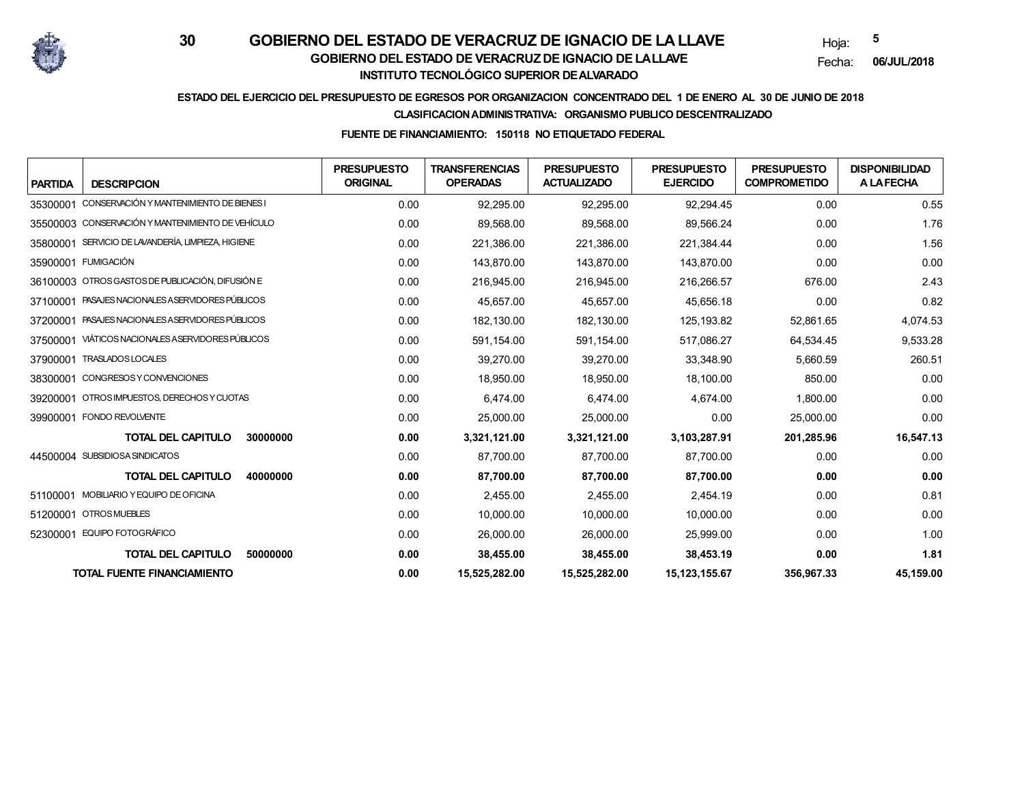

Hoja:**5**

Fecha:**06/JUL/2018**

## **ESTADO DEL EJERCICIO DEL PRESUPUESTO DE EGRESOS POR ORGANIZACION CONCENTRADO DEL 1 DE ENERO AL 30 DE JUNIO DE 2018**

#### **CLASIFICACION ADMINISTRATIVA: ORGANISMO PUBLICO DESCENTRALIZADO**

### **FUENTE DE FINANCIAMIENTO: 150118 NO ETIQUETADO FEDERAL**

| <b>PARTIDA</b><br><b>DESCRIPCION</b>                  | <b>PRESUPUESTO</b><br><b>ORIGINAL</b> | <b>TRANSFERENCIAS</b><br><b>OPERADAS</b> | <b>PRESUPUESTO</b><br><b>ACTUALIZADO</b> | <b>PRESUPUESTO</b><br><b>EJERCIDO</b> | <b>PRESUPUESTO</b><br><b>COMPROMETIDO</b> | <b>DISPONIBILIDAD</b><br><b>ALAFECHA</b> |
|-------------------------------------------------------|---------------------------------------|------------------------------------------|------------------------------------------|---------------------------------------|-------------------------------------------|------------------------------------------|
| CONSERVACIÓN Y MANTENIMIENTO DE BIENES I<br>35300001  | 0.00                                  | 92,295.00                                | 92,295.00                                | 92,294.45                             | 0.00                                      | 0.55                                     |
| 35500003 CONSERVACIÓN Y MANTENIMIENTO DE VEHÍCULO     | 0.00                                  | 89,568.00                                | 89,568.00                                | 89,566.24                             | 0.00                                      | 1.76                                     |
| SERVICIO DE LAVANDERÍA, LIMPIEZA, HIGIENE<br>35800001 | 0.00                                  | 221,386.00                               | 221,386.00                               | 221,384.44                            | 0.00                                      | 1.56                                     |
| 35900001 FUMIGACIÓN                                   | 0.00                                  | 143.870.00                               | 143,870.00                               | 143,870.00                            | 0.00                                      | 0.00                                     |
| 36100003 OTROS GASTOS DE PUBLICACIÓN, DIFUSIÓN E      | 0.00                                  | 216,945.00                               | 216,945.00                               | 216,266.57                            | 676.00                                    | 2.43                                     |
| PASAJES NACIONALES A SERVIDORES PÚBLICOS<br>37100001  | 0.00                                  | 45,657.00                                | 45,657.00                                | 45,656.18                             | 0.00                                      | 0.82                                     |
| PASAJES NACIONALES A SERVIDORES PÚBLICOS<br>37200001  | 0.00                                  | 182.130.00                               | 182.130.00                               | 125.193.82                            | 52,861.65                                 | 4,074.53                                 |
| VIÁTICOS NACIONALES A SERVIDORES PÚBLICOS<br>37500001 | 0.00                                  | 591,154.00                               | 591,154.00                               | 517,086.27                            | 64,534.45                                 | 9,533.28                                 |
| 37900001 TRASLADOS LOCALES                            | 0.00                                  | 39,270.00                                | 39,270.00                                | 33,348.90                             | 5,660.59                                  | 260.51                                   |
| CONGRESOS Y CONVENCIONES<br>38300001                  | 0.00                                  | 18,950.00                                | 18,950.00                                | 18,100.00                             | 850.00                                    | 0.00                                     |
| OTROS IMPUESTOS, DERECHOS Y CUOTAS<br>39200001        | 0.00                                  | 6,474.00                                 | 6,474.00                                 | 4,674.00                              | 1,800.00                                  | 0.00                                     |
| 39900001 FONDO REVOLVENTE                             | 0.00                                  | 25,000.00                                | 25,000.00                                | 0.00                                  | 25,000.00                                 | 0.00                                     |
| <b>TOTAL DEL CAPITULO</b><br>30000000                 | 0.00                                  | 3,321,121.00                             | 3,321,121.00                             | 3,103,287.91                          | 201,285.96                                | 16,547.13                                |
| 44500004 SUBSIDIOSA SINDICATOS                        | 0.00                                  | 87,700.00                                | 87,700.00                                | 87,700.00                             | 0.00                                      | 0.00                                     |
| <b>TOTAL DEL CAPITULO</b><br>40000000                 | 0.00                                  | 87,700.00                                | 87,700.00                                | 87,700.00                             | 0.00                                      | 0.00                                     |
| MOBILIARIO Y EQUIPO DE OFICINA<br>51100001            | 0.00                                  | 2,455.00                                 | 2,455.00                                 | 2,454.19                              | 0.00                                      | 0.81                                     |
| 51200001 OTROSMUEBLES                                 | 0.00                                  | 10.000.00                                | 10,000.00                                | 10,000.00                             | 0.00                                      | 0.00                                     |
| EQUIPO FOTOGRÁFICO<br>52300001                        | 0.00                                  | 26,000.00                                | 26,000.00                                | 25,999.00                             | 0.00                                      | 1.00                                     |
| <b>TOTAL DEL CAPITULO</b><br>50000000                 | 0.00                                  | 38,455.00                                | 38,455.00                                | 38,453.19                             | 0.00                                      | 1.81                                     |
| <b>TOTAL FUENTE FINANCIAMIENTO</b>                    | 0.00                                  | 15,525,282.00                            | 15,525,282.00                            | 15,123,155.67                         | 356,967.33                                | 45,159.00                                |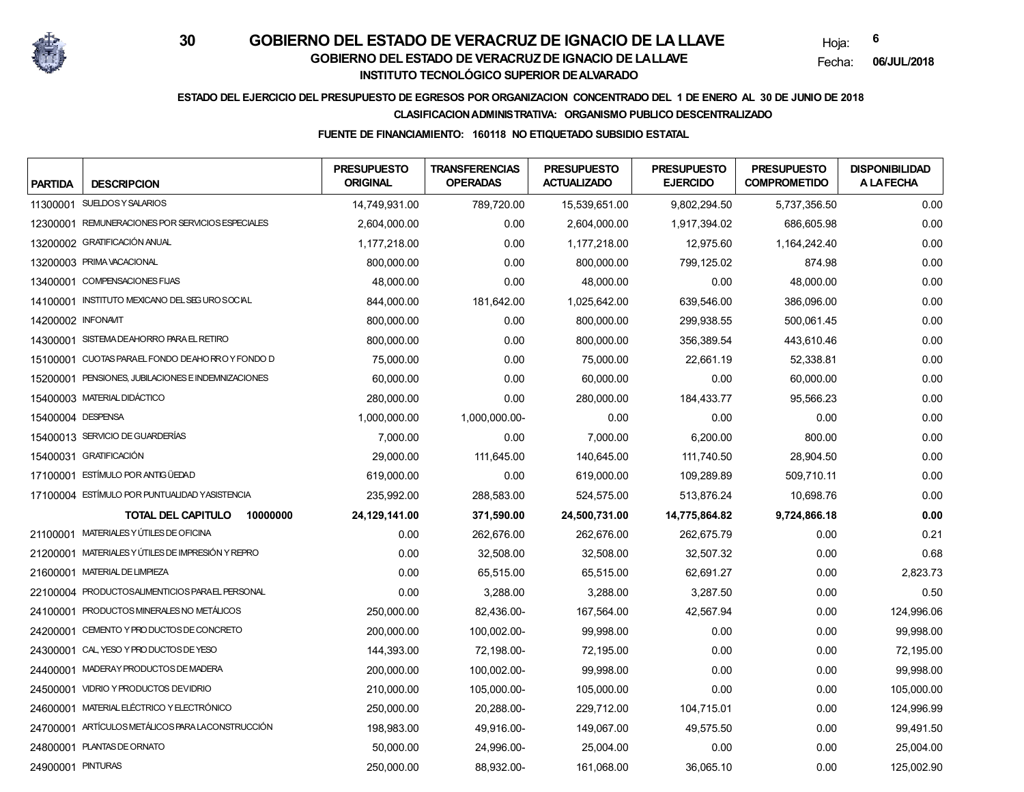

Hoja:**6**

Fecha:**06/JUL/2018**

## **ESTADO DEL EJERCICIO DEL PRESUPUESTO DE EGRESOS POR ORGANIZACION CONCENTRADO DEL 1 DE ENERO AL 30 DE JUNIO DE 2018**

### **CLASIFICACION ADMINISTRATIVA: ORGANISMO PUBLICO DESCENTRALIZADO**

### **FUENTE DE FINANCIAMIENTO: 160118 NO ETIQUETADO SUBSIDIO ESTATAL**

| <b>PARTIDA</b>     | <b>DESCRIPCION</b>                                 | <b>PRESUPUESTO</b><br><b>ORIGINAL</b> | <b>TRANSFERENCIAS</b><br><b>OPERADAS</b> | <b>PRESUPUESTO</b><br><b>ACTUALIZADO</b> | <b>PRESUPUESTO</b><br><b>EJERCIDO</b> | <b>PRESUPUESTO</b><br><b>COMPROMETIDO</b> | <b>DISPONIBILIDAD</b><br><b>A LAFECHA</b> |
|--------------------|----------------------------------------------------|---------------------------------------|------------------------------------------|------------------------------------------|---------------------------------------|-------------------------------------------|-------------------------------------------|
|                    | 11300001 SUELDOSY SALARIOS                         | 14,749,931.00                         | 789,720.00                               | 15,539,651.00                            | 9,802,294.50                          | 5,737,356.50                              | 0.00                                      |
|                    | 12300001 REMUNERACIONES POR SERVICIOS ESPECIALES   | 2,604,000.00                          | 0.00                                     | 2,604,000.00                             | 1,917,394.02                          | 686,605.98                                | 0.00                                      |
|                    | 13200002 GRATIFICACIÓN ANUAL                       | 1,177,218.00                          | 0.00                                     | 1,177,218.00                             | 12,975.60                             | 1,164,242.40                              | 0.00                                      |
|                    | 13200003 PRIMA VACACIONAL                          | 800,000.00                            | 0.00                                     | 800,000.00                               | 799,125.02                            | 874.98                                    | 0.00                                      |
|                    | 13400001 COMPENSACIONES FIJAS                      | 48,000.00                             | 0.00                                     | 48,000.00                                | 0.00                                  | 48,000.00                                 | 0.00                                      |
|                    | 14100001 INSTITUTO MEXICANO DEL SEGURO SOCIAL      | 844.000.00                            | 181,642.00                               | 1,025,642.00                             | 639,546.00                            | 386.096.00                                | 0.00                                      |
| 14200002 INFONAVIT |                                                    | 800,000.00                            | 0.00                                     | 800,000.00                               | 299,938.55                            | 500,061.45                                | 0.00                                      |
|                    | 14300001 SISTEMA DEAHORRO PARA EL RETIRO           | 800,000.00                            | 0.00                                     | 800,000.00                               | 356,389.54                            | 443,610.46                                | 0.00                                      |
|                    | 15100001 CUOTAS PARAEL FONDO DEAHORROY FONDO D     | 75,000.00                             | 0.00                                     | 75,000.00                                | 22,661.19                             | 52,338.81                                 | 0.00                                      |
|                    | 15200001 PENSIONES, JUBILACIONES E INDEMNIZACIONES | 60,000.00                             | 0.00                                     | 60,000.00                                | 0.00                                  | 60,000.00                                 | 0.00                                      |
|                    | 15400003 MATERIAL DIDÁCTICO                        | 280,000.00                            | 0.00                                     | 280,000.00                               | 184,433.77                            | 95,566.23                                 | 0.00                                      |
| 15400004 DESPENSA  |                                                    | 1,000,000.00                          | 1,000,000.00-                            | 0.00                                     | 0.00                                  | 0.00                                      | 0.00                                      |
|                    | 15400013 SERVICIO DE GUARDERÍAS                    | 7,000.00                              | 0.00                                     | 7,000.00                                 | 6,200.00                              | 800.00                                    | 0.00                                      |
|                    | 15400031 GRATIFICACIÓN                             | 29,000.00                             | 111,645.00                               | 140,645.00                               | 111,740.50                            | 28,904.50                                 | 0.00                                      |
|                    | 17100001 ESTÍMULO POR ANTIGÜEDAD                   | 619,000.00                            | 0.00                                     | 619.000.00                               | 109,289.89                            | 509,710.11                                | 0.00                                      |
|                    | 17100004 ESTÍMULO POR PUNTUALIDAD YASISTENCIA      | 235,992.00                            | 288,583.00                               | 524,575.00                               | 513,876.24                            | 10,698.76                                 | 0.00                                      |
|                    | <b>TOTAL DEL CAPITULO</b><br>10000000              | 24,129,141.00                         | 371,590.00                               | 24,500,731.00                            | 14,775,864.82                         | 9,724,866.18                              | 0.00                                      |
|                    | 21100001 MATERIALES Y ÚTILES DE OFICINA            | 0.00                                  | 262,676.00                               | 262,676.00                               | 262,675.79                            | 0.00                                      | 0.21                                      |
|                    | 21200001 MATERIALES Y ÚTILES DE IMPRESIÓN Y REPRO  | 0.00                                  | 32,508.00                                | 32,508.00                                | 32,507.32                             | 0.00                                      | 0.68                                      |
|                    | 21600001 MATERIAL DE LIMPIEZA                      | 0.00                                  | 65,515.00                                | 65,515.00                                | 62,691.27                             | 0.00                                      | 2,823.73                                  |
|                    | 22100004 PRODUCTOSALIMENTICIOS PARAEL PERSONAL     | 0.00                                  | 3,288.00                                 | 3,288.00                                 | 3,287.50                              | 0.00                                      | 0.50                                      |
|                    | 24100001 PRODUCTOS MINERALES NO METÁLICOS          | 250,000.00                            | 82,436.00-                               | 167,564.00                               | 42,567.94                             | 0.00                                      | 124,996.06                                |
|                    | 24200001 CEMENTO Y PRO DUCTOS DE CONCRETO          | 200,000.00                            | 100,002.00-                              | 99,998.00                                | 0.00                                  | 0.00                                      | 99,998.00                                 |
|                    | 24300001 CAL, YESO Y PRODUCTOS DE YESO             | 144,393.00                            | 72,198.00-                               | 72.195.00                                | 0.00                                  | 0.00                                      | 72,195.00                                 |
|                    | 24400001 MADERAY PRODUCTOS DE MADERA               | 200,000.00                            | 100,002.00-                              | 99,998.00                                | 0.00                                  | 0.00                                      | 99,998.00                                 |
|                    | 24500001 VIDRIO Y PRODUCTOS DEVIDRIO               | 210,000.00                            | 105,000.00-                              | 105,000.00                               | 0.00                                  | 0.00                                      | 105,000.00                                |
|                    | 24600001 MATERIAL ELÉCTRICO Y ELECTRÓNICO          | 250,000.00                            | 20,288.00-                               | 229,712.00                               | 104,715.01                            | 0.00                                      | 124,996.99                                |
|                    | 24700001 ARTÍCULOS METÁLICOS PARA LACONSTRUCCIÓN   | 198,983.00                            | 49,916.00-                               | 149,067.00                               | 49,575.50                             | 0.00                                      | 99,491.50                                 |
|                    | 24800001 PLANTAS DE ORNATO                         | 50,000.00                             | 24,996.00-                               | 25,004.00                                | 0.00                                  | 0.00                                      | 25,004.00                                 |
| 24900001 PINTURAS  |                                                    | 250,000.00                            | 88,932.00-                               | 161,068.00                               | 36,065.10                             | 0.00                                      | 125,002.90                                |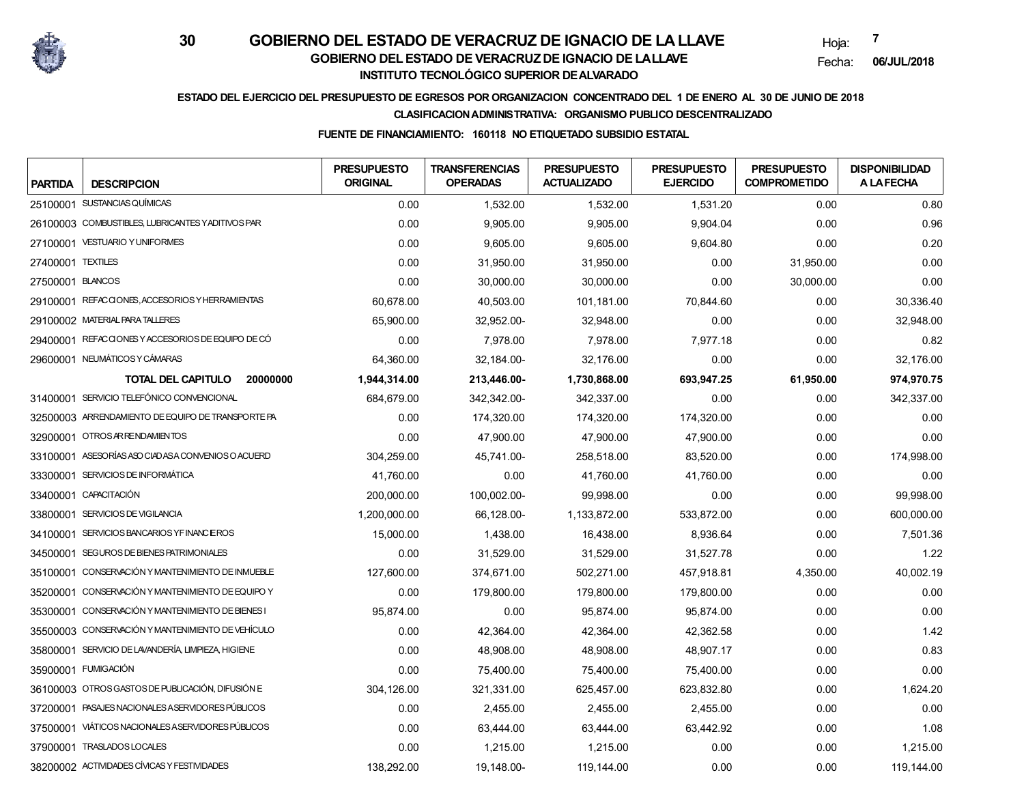

Hoja:**7**

Fecha:**06/JUL/2018**

## **ESTADO DEL EJERCICIO DEL PRESUPUESTO DE EGRESOS POR ORGANIZACION CONCENTRADO DEL 1 DE ENERO AL 30 DE JUNIO DE 2018**

### **CLASIFICACION ADMINISTRATIVA: ORGANISMO PUBLICO DESCENTRALIZADO**

### **FUENTE DE FINANCIAMIENTO: 160118 NO ETIQUETADO SUBSIDIO ESTATAL**

| <b>PARTIDA</b>    | <b>DESCRIPCION</b>                                 | <b>PRESUPUESTO</b><br><b>ORIGINAL</b> | <b>TRANSFERENCIAS</b><br><b>OPERADAS</b> | <b>PRESUPUESTO</b><br><b>ACTUALIZADO</b> | <b>PRESUPUESTO</b><br><b>EJERCIDO</b> | <b>PRESUPUESTO</b><br><b>COMPROMETIDO</b> | <b>DISPONIBILIDAD</b><br><b>A LAFECHA</b> |
|-------------------|----------------------------------------------------|---------------------------------------|------------------------------------------|------------------------------------------|---------------------------------------|-------------------------------------------|-------------------------------------------|
|                   | 25100001 SUSTANCIAS QUÍMICAS                       | 0.00                                  | 1,532.00                                 | 1,532.00                                 | 1,531.20                              | 0.00                                      | 0.80                                      |
|                   | 26100003 COMBUSTIBLES, LUBRICANTES YADITIVOS PAR   | 0.00                                  | 9,905.00                                 | 9,905.00                                 | 9,904.04                              | 0.00                                      | 0.96                                      |
|                   | 27100001 VESTUARIO Y UNIFORMES                     | 0.00                                  | 9,605.00                                 | 9,605.00                                 | 9,604.80                              | 0.00                                      | 0.20                                      |
| 27400001 TEXTILES |                                                    | 0.00                                  | 31,950.00                                | 31,950.00                                | 0.00                                  | 31,950.00                                 | 0.00                                      |
| 27500001 BLANCOS  |                                                    | 0.00                                  | 30,000.00                                | 30,000.00                                | 0.00                                  | 30,000.00                                 | 0.00                                      |
|                   | 29100001 REFACCIONES, ACCESORIOS Y HERRAMIENTAS    | 60.678.00                             | 40.503.00                                | 101.181.00                               | 70,844.60                             | 0.00                                      | 30.336.40                                 |
|                   | 29100002 MATERIAL PARA TALLERES                    | 65,900.00                             | 32,952.00-                               | 32,948.00                                | 0.00                                  | 0.00                                      | 32,948.00                                 |
|                   | 29400001 REFACCIONES Y ACCESORIOS DE EQUIPO DE CÓ  | 0.00                                  | 7,978.00                                 | 7,978.00                                 | 7,977.18                              | 0.00                                      | 0.82                                      |
|                   | 29600001 NEUMÁTICOS Y CÁMARAS                      | 64,360.00                             | 32,184.00-                               | 32,176.00                                | 0.00                                  | 0.00                                      | 32,176.00                                 |
|                   | <b>TOTAL DEL CAPITULO</b><br>20000000              | 1,944,314.00                          | 213,446.00-                              | 1,730,868.00                             | 693,947.25                            | 61,950.00                                 | 974,970.75                                |
|                   | 31400001 SERVICIO TELEFÓNICO CONVENCIONAL          | 684.679.00                            | 342.342.00-                              | 342.337.00                               | 0.00                                  | 0.00                                      | 342,337.00                                |
|                   | 32500003 ARRENDAMIENTO DE EQUIPO DE TRANSPORTE PA  | 0.00                                  | 174,320.00                               | 174,320.00                               | 174,320.00                            | 0.00                                      | 0.00                                      |
|                   | 32900001 OTROS AR RENDAMIENTOS                     | 0.00                                  | 47,900.00                                | 47,900.00                                | 47,900.00                             | 0.00                                      | 0.00                                      |
|                   | 33100001 ASESORÍAS ASO CIADAS A CONVENIOS O ACUERD | 304,259.00                            | 45,741.00-                               | 258,518.00                               | 83,520.00                             | 0.00                                      | 174,998.00                                |
|                   | 33300001 SERVICIOS DE INFORMÁTICA                  | 41,760.00                             | 0.00                                     | 41.760.00                                | 41,760.00                             | 0.00                                      | 0.00                                      |
|                   | 33400001 CAPACITACIÓN                              | 200,000.00                            | 100,002.00-                              | 99,998.00                                | 0.00                                  | 0.00                                      | 99,998.00                                 |
| 33800001          | SERVICIOS DE VIGILANCIA                            | 1,200,000.00                          | 66,128.00-                               | 1,133,872.00                             | 533,872.00                            | 0.00                                      | 600,000.00                                |
| 34100001          | SERVICIOS BANCARIOS YF INANC EROS                  | 15,000.00                             | 1,438.00                                 | 16,438.00                                | 8,936.64                              | 0.00                                      | 7,501.36                                  |
| 34500001          | SEGUROS DE BIENES PATRIMONIALES                    | 0.00                                  | 31,529.00                                | 31,529.00                                | 31,527.78                             | 0.00                                      | 1.22                                      |
| 35100001          | CONSERVACIÓN Y MANTENIMIENTO DE INMUEBLE           | 127,600.00                            | 374,671.00                               | 502,271.00                               | 457,918.81                            | 4,350.00                                  | 40,002.19                                 |
|                   | 35200001 CONSERVACIÓN Y MANTENIMIENTO DE EQUIPO Y  | 0.00                                  | 179,800.00                               | 179,800.00                               | 179,800.00                            | 0.00                                      | 0.00                                      |
|                   | 35300001 CONSERVACIÓN Y MANTENIMIENTO DE BIENES I  | 95,874.00                             | 0.00                                     | 95.874.00                                | 95.874.00                             | 0.00                                      | 0.00                                      |
|                   | 35500003 CONSERVACIÓN Y MANTENIMIENTO DE VEHÍCULO  | 0.00                                  | 42,364.00                                | 42,364.00                                | 42,362.58                             | 0.00                                      | 1.42                                      |
|                   | 35800001 SERVICIO DE LAVANDERÍA, LIMPIEZA, HIGIENE | 0.00                                  | 48,908.00                                | 48,908.00                                | 48.907.17                             | 0.00                                      | 0.83                                      |
|                   | 35900001 FUMIGACIÓN                                | 0.00                                  | 75,400.00                                | 75,400.00                                | 75,400.00                             | 0.00                                      | 0.00                                      |
|                   | 36100003 OTROS GASTOS DE PUBLICACIÓN, DIFUSIÓN E   | 304,126.00                            | 321,331.00                               | 625,457.00                               | 623,832.80                            | 0.00                                      | 1,624.20                                  |
|                   | 37200001 PASAJES NACIONALES ASERVIDORES PÚBLICOS   | 0.00                                  | 2,455.00                                 | 2,455.00                                 | 2,455.00                              | 0.00                                      | 0.00                                      |
|                   | 37500001 VIÁTICOS NACIONALES ASERVIDORES PÚBLICOS  | 0.00                                  | 63,444.00                                | 63,444.00                                | 63,442.92                             | 0.00                                      | 1.08                                      |
|                   | 37900001 TRASLADOS LOCALES                         | 0.00                                  | 1,215.00                                 | 1,215.00                                 | 0.00                                  | 0.00                                      | 1,215.00                                  |
|                   | 38200002 ACTIVIDADES CÍVICAS Y FESTIVIDADES        | 138,292.00                            | 19,148.00-                               | 119, 144.00                              | 0.00                                  | 0.00                                      | 119, 144.00                               |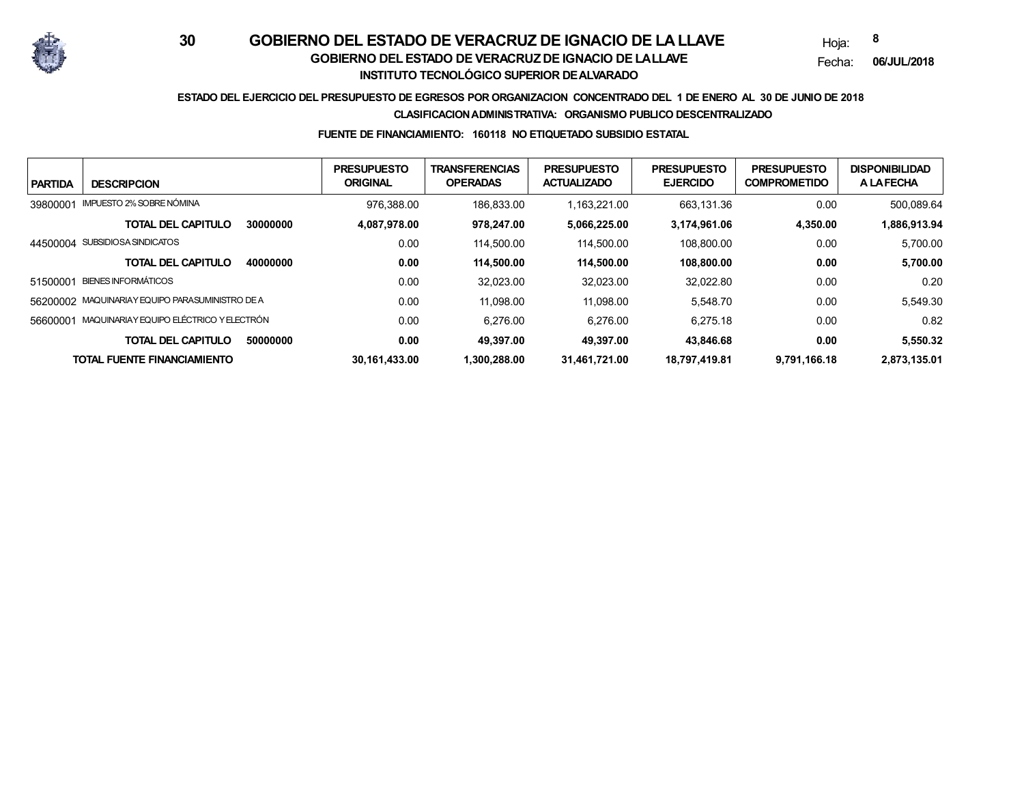

Hoja:**8**

Fecha:**06/JUL/2018**

## **ESTADO DEL EJERCICIO DEL PRESUPUESTO DE EGRESOS POR ORGANIZACION CONCENTRADO DEL 1 DE ENERO AL 30 DE JUNIO DE 2018**

#### **CLASIFICACION ADMINISTRATIVA: ORGANISMO PUBLICO DESCENTRALIZADO**

#### **FUENTE DE FINANCIAMIENTO: 160118 NO ETIQUETADO SUBSIDIO ESTATAL**

| <b>PARTIDA</b> | <b>DESCRIPCION</b>                              |          | <b>PRESUPUESTO</b><br><b>ORIGINAL</b> | <b>TRANSFERENCIAS</b><br><b>OPERADAS</b> | <b>PRESUPUESTO</b><br><b>ACTUALIZADO</b> | <b>PRESUPUESTO</b><br><b>EJERCIDO</b> | <b>PRESUPUESTO</b><br><b>COMPROMETIDO</b> | <b>DISPONIBILIDAD</b><br><b>A LAFECHA</b> |
|----------------|-------------------------------------------------|----------|---------------------------------------|------------------------------------------|------------------------------------------|---------------------------------------|-------------------------------------------|-------------------------------------------|
| 39800001       | IMPUESTO 2% SOBRE NÓMINA                        |          | 976.388.00                            | 186.833.00                               | .163.221.00                              | 663.131.36                            | 0.00                                      | 500.089.64                                |
|                | <b>TOTAL DEL CAPITULO</b>                       | 30000000 | 4,087,978.00                          | 978.247.00                               | 5,066,225.00                             | 3,174,961.06                          | 4,350.00                                  | 1,886,913.94                              |
|                | 44500004 SUBSIDIOSA SINDICATOS                  |          | 0.00                                  | 114.500.00                               | 114.500.00                               | 108.800.00                            | 0.00                                      | 5.700.00                                  |
|                | <b>TOTAL DEL CAPITULO</b>                       | 40000000 | 0.00                                  | 114.500.00                               | 114.500.00                               | 108.800.00                            | 0.00                                      | 5,700.00                                  |
| 51500001       | <b>BIENES INFORMÁTICOS</b>                      |          | 0.00                                  | 32.023.00                                | 32,023.00                                | 32.022.80                             | 0.00                                      | 0.20                                      |
|                | 56200002 MAQUINARIAY EQUIPO PARASUMINISTRO DE A |          | 0.00                                  | 11.098.00                                | 11.098.00                                | 5.548.70                              | 0.00                                      | 5,549.30                                  |
| 56600001       | MAQUINARIAY EQUIPO ELÉCTRICO Y ELECTRÓN         |          | 0.00                                  | 6.276.00                                 | 6.276.00                                 | 6.275.18                              | 0.00                                      | 0.82                                      |
|                | <b>TOTAL DEL CAPITULO</b>                       | 50000000 | 0.00                                  | 49.397.00                                | 49.397.00                                | 43.846.68                             | 0.00                                      | 5.550.32                                  |
|                | TOTAL FUENTE FINANCIAMIENTO                     |          | 30,161,433.00                         | 1.300.288.00                             | 31,461,721.00                            | 18,797,419.81                         | 9,791,166.18                              | 2,873,135.01                              |